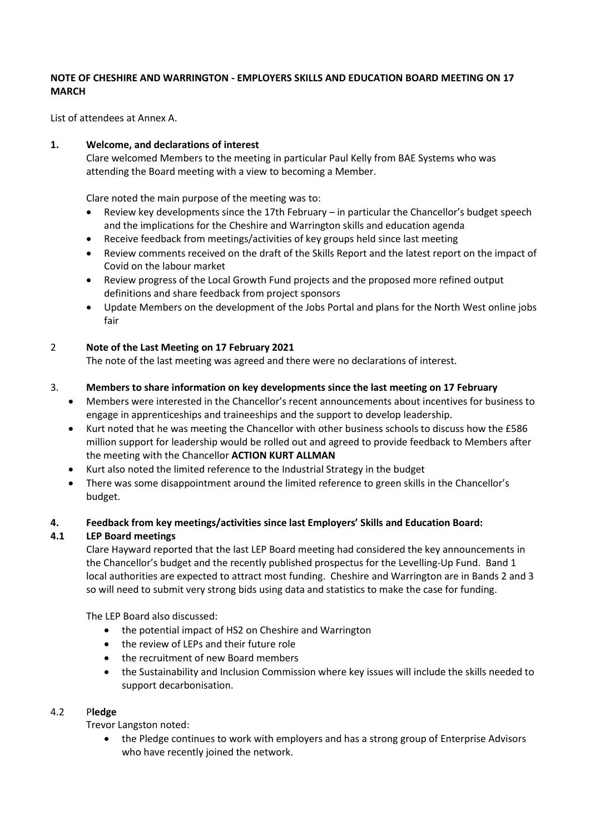#### **NOTE OF CHESHIRE AND WARRINGTON - EMPLOYERS SKILLS AND EDUCATION BOARD MEETING ON 17 MARCH**

List of attendees at Annex A.

## **1. Welcome, and declarations of interest**

Clare welcomed Members to the meeting in particular Paul Kelly from BAE Systems who was attending the Board meeting with a view to becoming a Member.

Clare noted the main purpose of the meeting was to:

- Review key developments since the 17th February in particular the Chancellor's budget speech and the implications for the Cheshire and Warrington skills and education agenda
- Receive feedback from meetings/activities of key groups held since last meeting
- Review comments received on the draft of the Skills Report and the latest report on the impact of Covid on the labour market
- Review progress of the Local Growth Fund projects and the proposed more refined output definitions and share feedback from project sponsors
- Update Members on the development of the Jobs Portal and plans for the North West online jobs fair

## 2 **Note of the Last Meeting on 17 February 2021**

The note of the last meeting was agreed and there were no declarations of interest.

#### 3. **Members to share information on key developments since the last meeting on 17 February**

- Members were interested in the Chancellor's recent announcements about incentives for business to engage in apprenticeships and traineeships and the support to develop leadership.
- Kurt noted that he was meeting the Chancellor with other business schools to discuss how the £586 million support for leadership would be rolled out and agreed to provide feedback to Members after the meeting with the Chancellor **ACTION KURT ALLMAN**
- Kurt also noted the limited reference to the Industrial Strategy in the budget
- There was some disappointment around the limited reference to green skills in the Chancellor's budget.

## **4. Feedback from key meetings/activities since last Employers' Skills and Education Board:**

## **4.1 LEP Board meetings**

Clare Hayward reported that the last LEP Board meeting had considered the key announcements in the Chancellor's budget and the recently published prospectus for the Levelling-Up Fund. Band 1 local authorities are expected to attract most funding. Cheshire and Warrington are in Bands 2 and 3 so will need to submit very strong bids using data and statistics to make the case for funding.

The LEP Board also discussed:

- the potential impact of HS2 on Cheshire and Warrington
- the review of LEPs and their future role
- the recruitment of new Board members
- the Sustainability and Inclusion Commission where key issues will include the skills needed to support decarbonisation.

#### 4.2 P**ledge**

Trevor Langston noted:

• the Pledge continues to work with employers and has a strong group of Enterprise Advisors who have recently joined the network.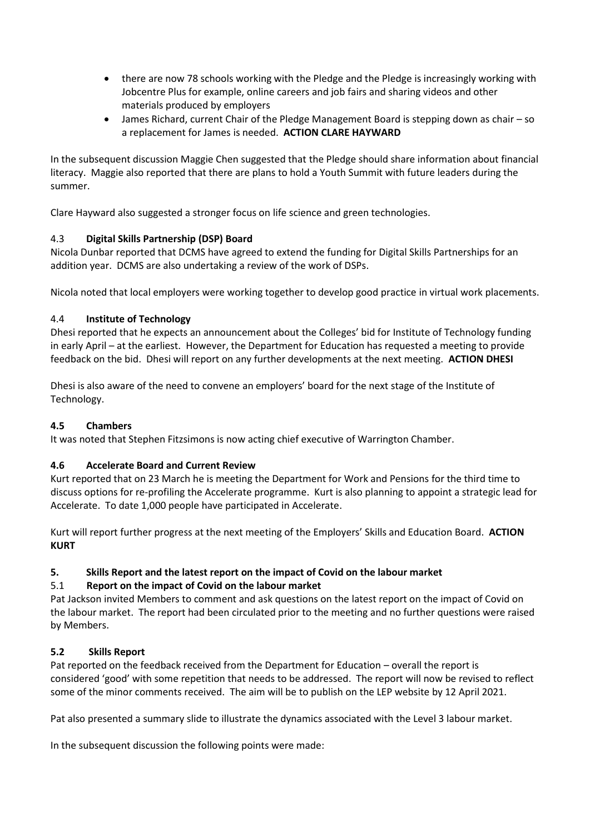- there are now 78 schools working with the Pledge and the Pledge is increasingly working with Jobcentre Plus for example, online careers and job fairs and sharing videos and other materials produced by employers
- James Richard, current Chair of the Pledge Management Board is stepping down as chair so a replacement for James is needed. **ACTION CLARE HAYWARD**

In the subsequent discussion Maggie Chen suggested that the Pledge should share information about financial literacy. Maggie also reported that there are plans to hold a Youth Summit with future leaders during the summer.

Clare Hayward also suggested a stronger focus on life science and green technologies.

# 4.3 **Digital Skills Partnership (DSP) Board**

Nicola Dunbar reported that DCMS have agreed to extend the funding for Digital Skills Partnerships for an addition year. DCMS are also undertaking a review of the work of DSPs.

Nicola noted that local employers were working together to develop good practice in virtual work placements.

# 4.4 **Institute of Technology**

Dhesi reported that he expects an announcement about the Colleges' bid for Institute of Technology funding in early April – at the earliest. However, the Department for Education has requested a meeting to provide feedback on the bid. Dhesi will report on any further developments at the next meeting. **ACTION DHESI**

Dhesi is also aware of the need to convene an employers' board for the next stage of the Institute of Technology.

## **4.5 Chambers**

It was noted that Stephen Fitzsimons is now acting chief executive of Warrington Chamber.

## **4.6 Accelerate Board and Current Review**

Kurt reported that on 23 March he is meeting the Department for Work and Pensions for the third time to discuss options for re-profiling the Accelerate programme. Kurt is also planning to appoint a strategic lead for Accelerate. To date 1,000 people have participated in Accelerate.

Kurt will report further progress at the next meeting of the Employers' Skills and Education Board. **ACTION KURT**

## **5. Skills Report and the latest report on the impact of Covid on the labour market**

## 5.1 **Report on the impact of Covid on the labour market**

Pat Jackson invited Members to comment and ask questions on the latest report on the impact of Covid on the labour market. The report had been circulated prior to the meeting and no further questions were raised by Members.

## **5.2 Skills Report**

Pat reported on the feedback received from the Department for Education – overall the report is considered 'good' with some repetition that needs to be addressed. The report will now be revised to reflect some of the minor comments received. The aim will be to publish on the LEP website by 12 April 2021.

Pat also presented a summary slide to illustrate the dynamics associated with the Level 3 labour market.

In the subsequent discussion the following points were made: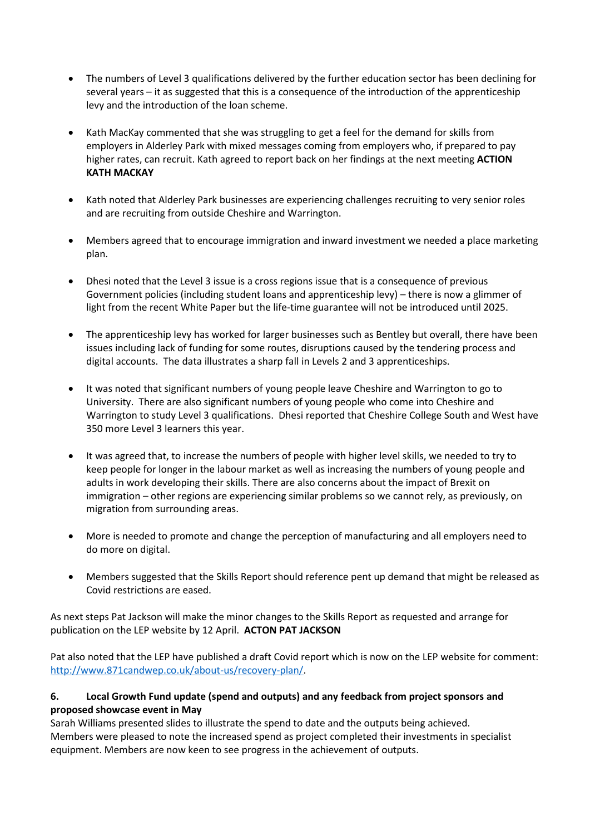- The numbers of Level 3 qualifications delivered by the further education sector has been declining for several years – it as suggested that this is a consequence of the introduction of the apprenticeship levy and the introduction of the loan scheme.
- Kath MacKay commented that she was struggling to get a feel for the demand for skills from employers in Alderley Park with mixed messages coming from employers who, if prepared to pay higher rates, can recruit. Kath agreed to report back on her findings at the next meeting **ACTION KATH MACKAY**
- Kath noted that Alderley Park businesses are experiencing challenges recruiting to very senior roles and are recruiting from outside Cheshire and Warrington.
- Members agreed that to encourage immigration and inward investment we needed a place marketing plan.
- Dhesi noted that the Level 3 issue is a cross regions issue that is a consequence of previous Government policies (including student loans and apprenticeship levy) – there is now a glimmer of light from the recent White Paper but the life-time guarantee will not be introduced until 2025.
- The apprenticeship levy has worked for larger businesses such as Bentley but overall, there have been issues including lack of funding for some routes, disruptions caused by the tendering process and digital accounts. The data illustrates a sharp fall in Levels 2 and 3 apprenticeships.
- It was noted that significant numbers of young people leave Cheshire and Warrington to go to University. There are also significant numbers of young people who come into Cheshire and Warrington to study Level 3 qualifications. Dhesi reported that Cheshire College South and West have 350 more Level 3 learners this year.
- It was agreed that, to increase the numbers of people with higher level skills, we needed to try to keep people for longer in the labour market as well as increasing the numbers of young people and adults in work developing their skills. There are also concerns about the impact of Brexit on immigration – other regions are experiencing similar problems so we cannot rely, as previously, on migration from surrounding areas.
- More is needed to promote and change the perception of manufacturing and all employers need to do more on digital.
- Members suggested that the Skills Report should reference pent up demand that might be released as Covid restrictions are eased.

As next steps Pat Jackson will make the minor changes to the Skills Report as requested and arrange for publication on the LEP website by 12 April. **ACTON PAT JACKSON**

Pat also noted that the LEP have published a draft Covid report which is now on the LEP website for comment: [http://www.871candwep.co.uk/about-us/recovery-plan/.](http://www.871candwep.co.uk/about-us/recovery-plan/)

# **6. Local Growth Fund update (spend and outputs) and any feedback from project sponsors and proposed showcase event in May**

Sarah Williams presented slides to illustrate the spend to date and the outputs being achieved. Members were pleased to note the increased spend as project completed their investments in specialist equipment. Members are now keen to see progress in the achievement of outputs.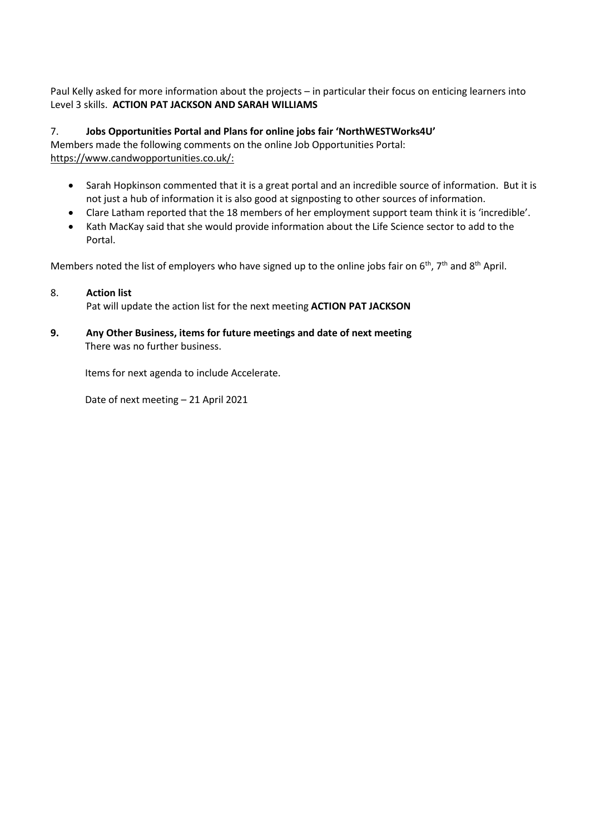Paul Kelly asked for more information about the projects – in particular their focus on enticing learners into Level 3 skills. **ACTION PAT JACKSON AND SARAH WILLIAMS**

7. **Jobs Opportunities Portal and Plans for online jobs fair 'NorthWESTWorks4U'** Members made the following comments on the online Job Opportunities Portal: https://www.candwopportunities.co.uk/:

- Sarah Hopkinson commented that it is a great portal and an incredible source of information. But it is not just a hub of information it is also good at signposting to other sources of information.
- Clare Latham reported that the 18 members of her employment support team think it is 'incredible'.
- Kath MacKay said that she would provide information about the Life Science sector to add to the Portal.

Members noted the list of employers who have signed up to the online jobs fair on  $6<sup>th</sup>$ , 7<sup>th</sup> and 8<sup>th</sup> April.

#### 8. **Action list**

Pat will update the action list for the next meeting **ACTION PAT JACKSON**

**9. Any Other Business, items for future meetings and date of next meeting** There was no further business.

Items for next agenda to include Accelerate.

Date of next meeting – 21 April 2021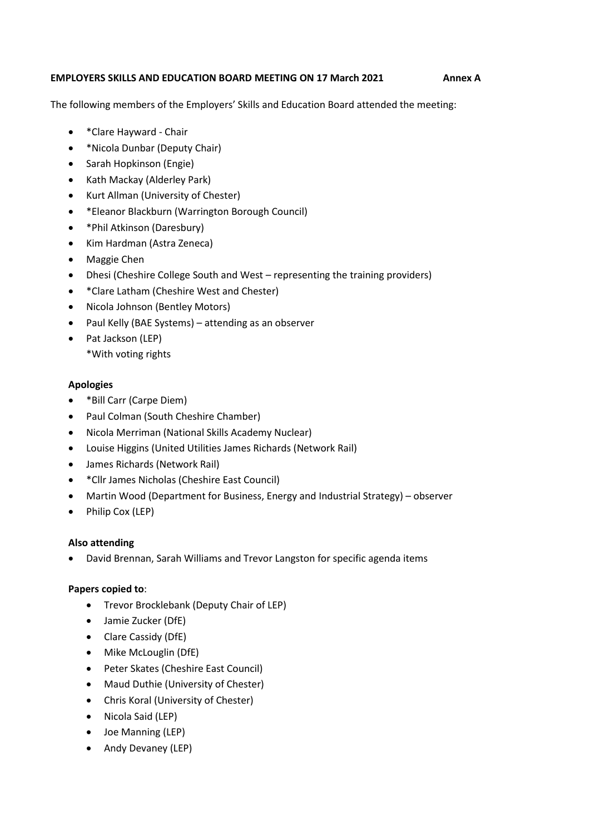#### **EMPLOYERS SKILLS AND EDUCATION BOARD MEETING ON 17 March 2021 Annex A**

The following members of the Employers' Skills and Education Board attended the meeting:

- \*Clare Hayward Chair
- \*Nicola Dunbar (Deputy Chair)
- Sarah Hopkinson (Engie)
- Kath Mackay (Alderley Park)
- Kurt Allman (University of Chester)
- \*Eleanor Blackburn (Warrington Borough Council)
- \*Phil Atkinson (Daresbury)
- Kim Hardman (Astra Zeneca)
- Maggie Chen
- Dhesi (Cheshire College South and West representing the training providers)
- \*Clare Latham (Cheshire West and Chester)
- Nicola Johnson (Bentley Motors)
- Paul Kelly (BAE Systems) attending as an observer
- Pat Jackson (LEP)
	- \*With voting rights

#### **Apologies**

- \*Bill Carr (Carpe Diem)
- Paul Colman (South Cheshire Chamber)
- Nicola Merriman (National Skills Academy Nuclear)
- Louise Higgins (United Utilities James Richards (Network Rail)
- James Richards (Network Rail)
- \*Cllr James Nicholas (Cheshire East Council)
- Martin Wood (Department for Business, Energy and Industrial Strategy) observer
- Philip Cox (LEP)

#### **Also attending**

• David Brennan, Sarah Williams and Trevor Langston for specific agenda items

## **Papers copied to**:

- Trevor Brocklebank (Deputy Chair of LEP)
- Jamie Zucker (DfE)
- Clare Cassidy (DfE)
- Mike McLouglin (DfE)
- Peter Skates (Cheshire East Council)
- Maud Duthie (University of Chester)
- Chris Koral (University of Chester)
- Nicola Said (LEP)
- Joe Manning (LEP)
- Andy Devaney (LEP)